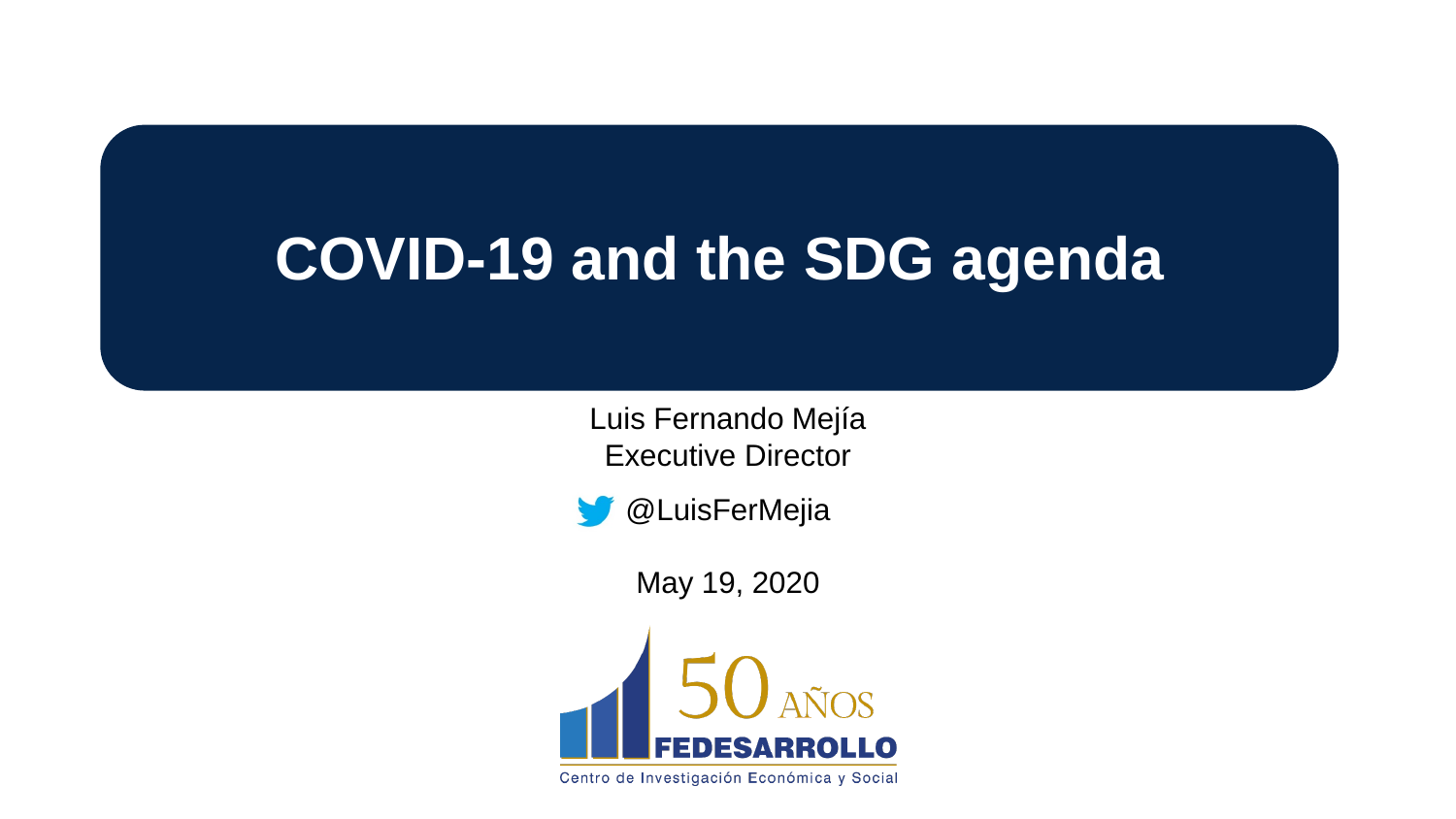# **COVID-19 and the SDG agenda**

Luis Fernando Mejía Executive Director



May 19, 2020



Centro de Investigación Económica y Social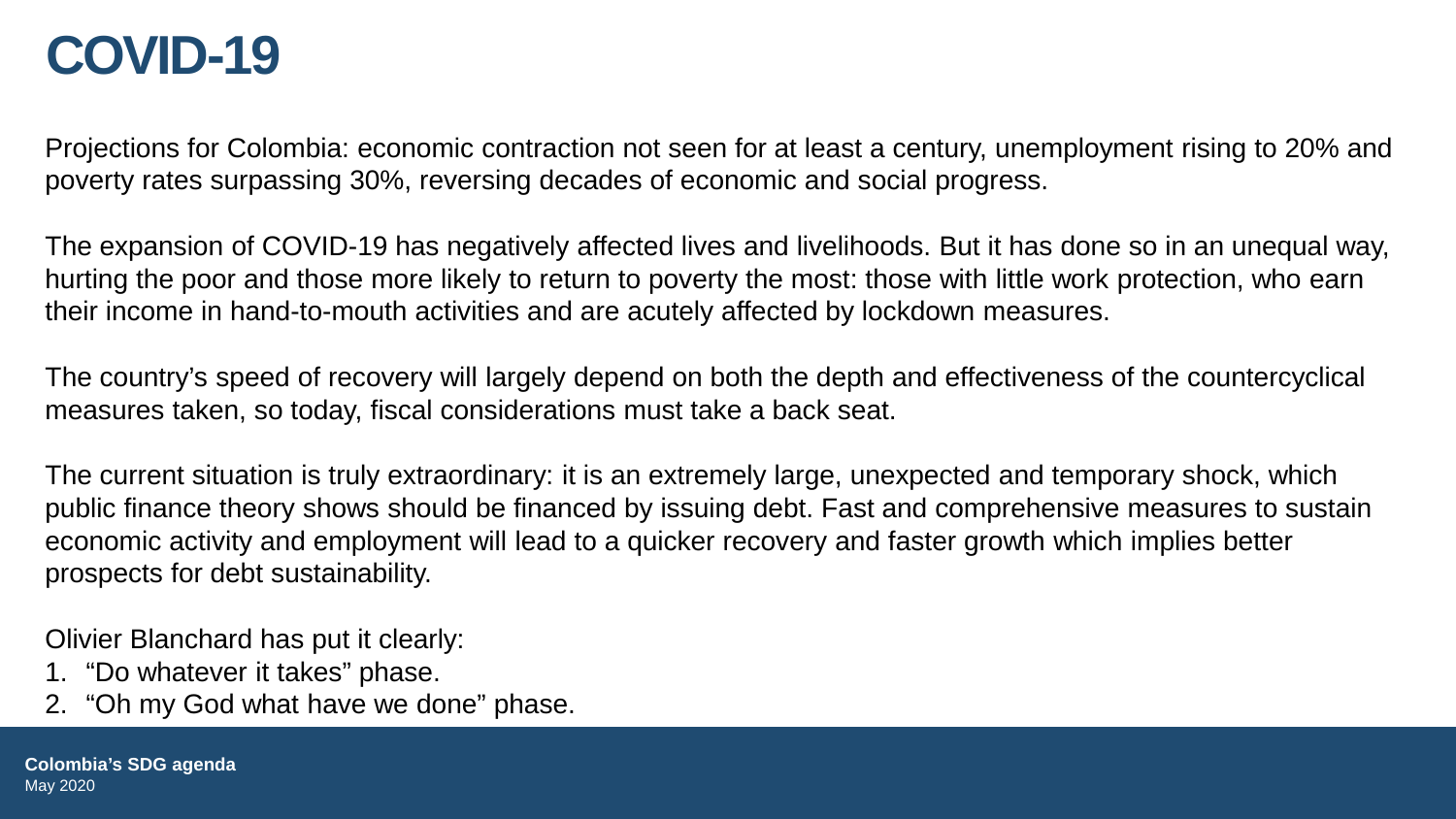### **COVID-19**

Projections for Colombia: economic contraction not seen for at least a century, unemployment rising to 20% and poverty rates surpassing 30%, reversing decades of economic and social progress.

The expansion of COVID-19 has negatively affected lives and livelihoods. But it has done so in an unequal way, hurting the poor and those more likely to return to poverty the most: those with little work protection, who earn their income in hand-to-mouth activities and are acutely affected by lockdown measures.

The country's speed of recovery will largely depend on both the depth and effectiveness of the countercyclical measures taken, so today, fiscal considerations must take a back seat.

The current situation is truly extraordinary: it is an extremely large, unexpected and temporary shock, which public finance theory shows should be financed by issuing debt. Fast and comprehensive measures to sustain economic activity and employment will lead to a quicker recovery and faster growth which implies better prospects for debt sustainability.

Olivier Blanchard has put it clearly:

- 1. "Do whatever it takes" phase.
- 2. "Oh my God what have we done" phase.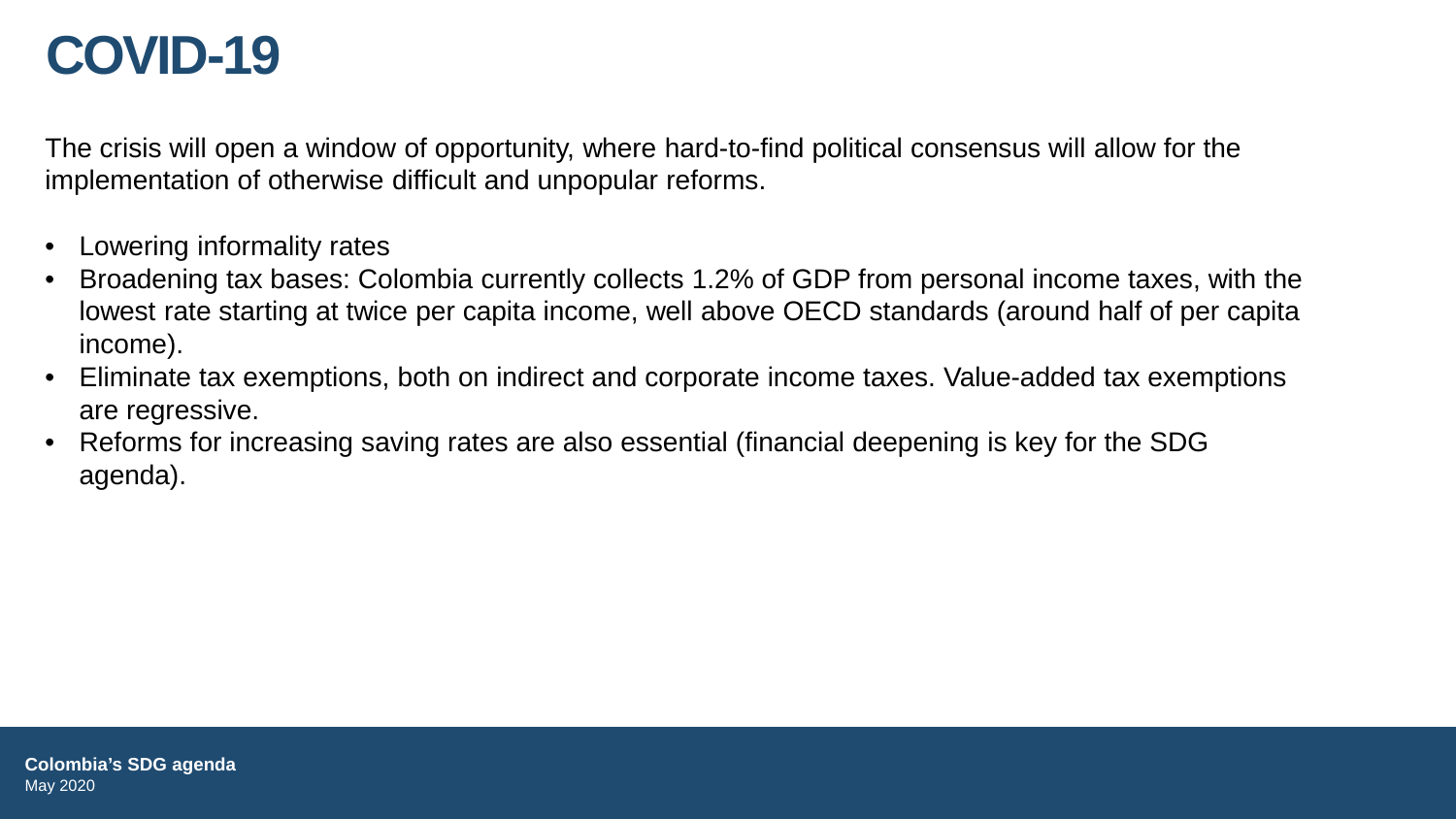### **COVID-19**

The crisis will open a window of opportunity, where hard-to-find political consensus will allow for the implementation of otherwise difficult and unpopular reforms.

- Lowering informality rates
- Broadening tax bases: Colombia currently collects 1.2% of GDP from personal income taxes, with the lowest rate starting at twice per capita income, well above OECD standards (around half of per capita income).
- Eliminate tax exemptions, both on indirect and corporate income taxes. Value-added tax exemptions are regressive.
- Reforms for increasing saving rates are also essential (financial deepening is key for the SDG agenda).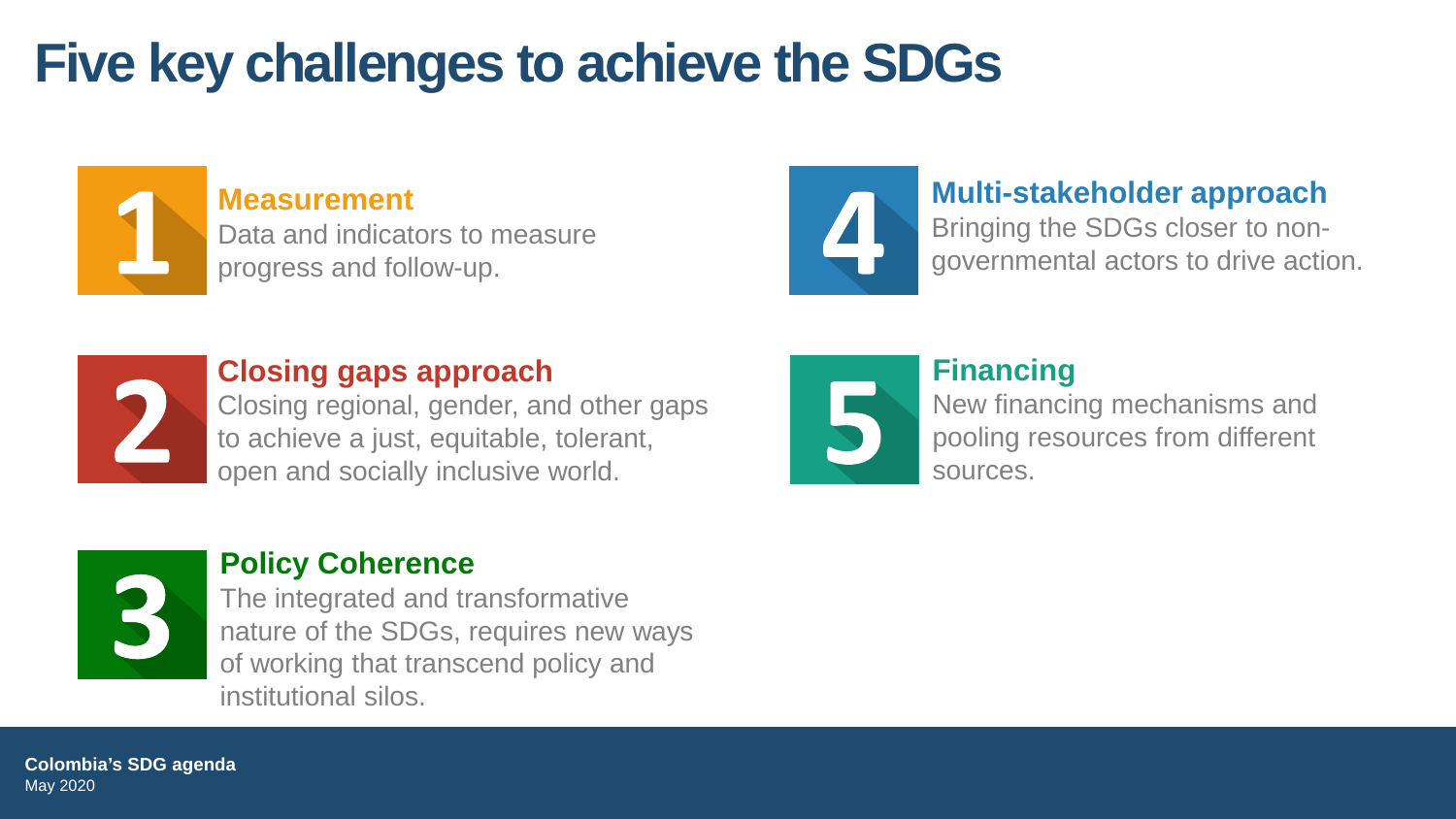# **Five key challenges to achieve the SDGs**



#### **Measurement**

Data and indicators to measure progress and follow-up.



### **Multi-stakeholder approach**

Bringing the SDGs closer to nongovernmental actors to drive action.



### **Closing gaps approach**

Closing regional, gender, and other gaps to achieve a just, equitable, tolerant, open and socially inclusive world.



### **Financing**

New financing mechanisms and pooling resources from different sources.



#### **Policy Coherence**

The integrated and transformative nature of the SDGs, requires new ways of working that transcend policy and institutional silos.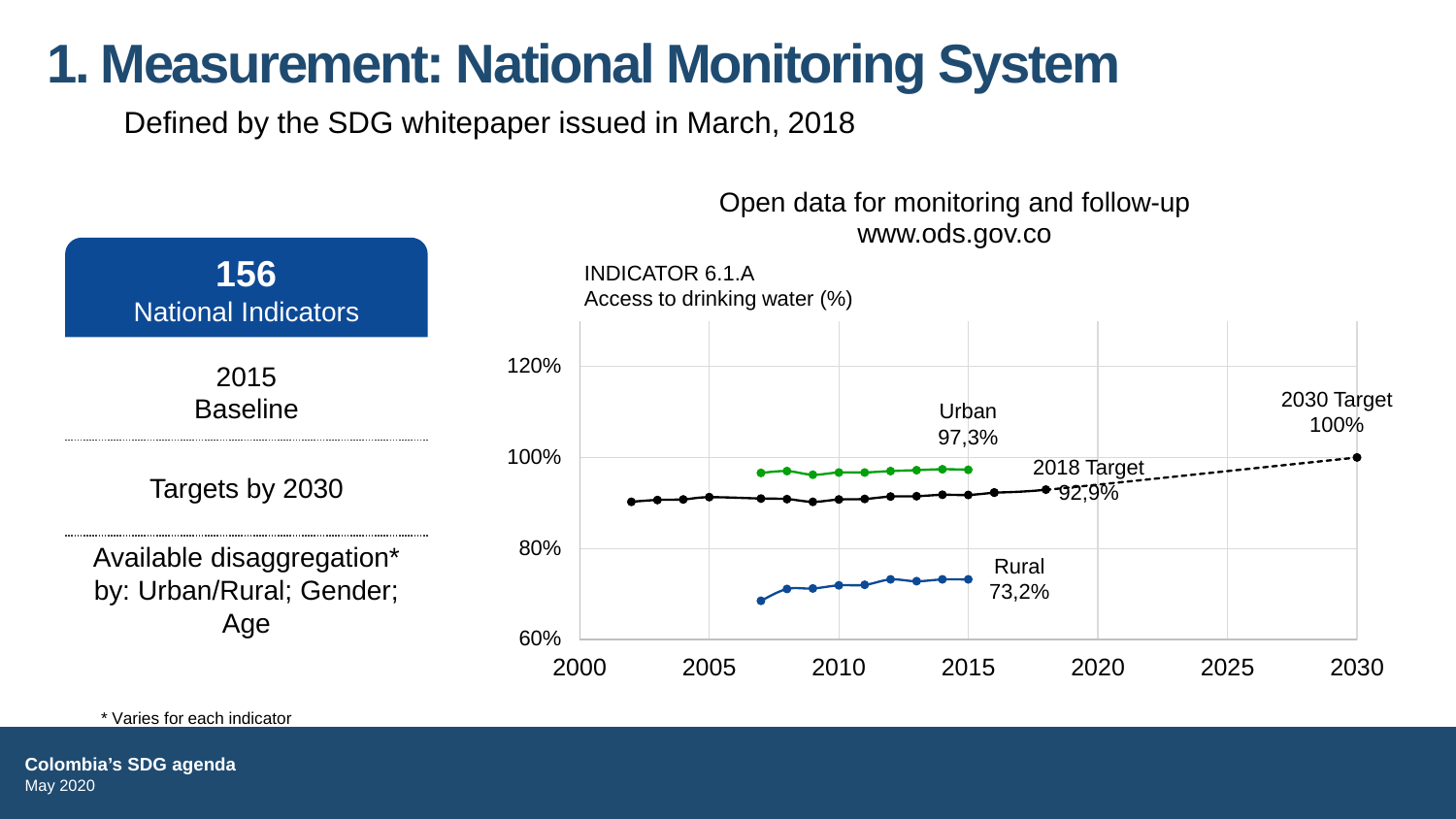### **1. Measurement: National Monitoring System**

Defined by the SDG whitepaper issued in March, 2018



\* Varies for each indicator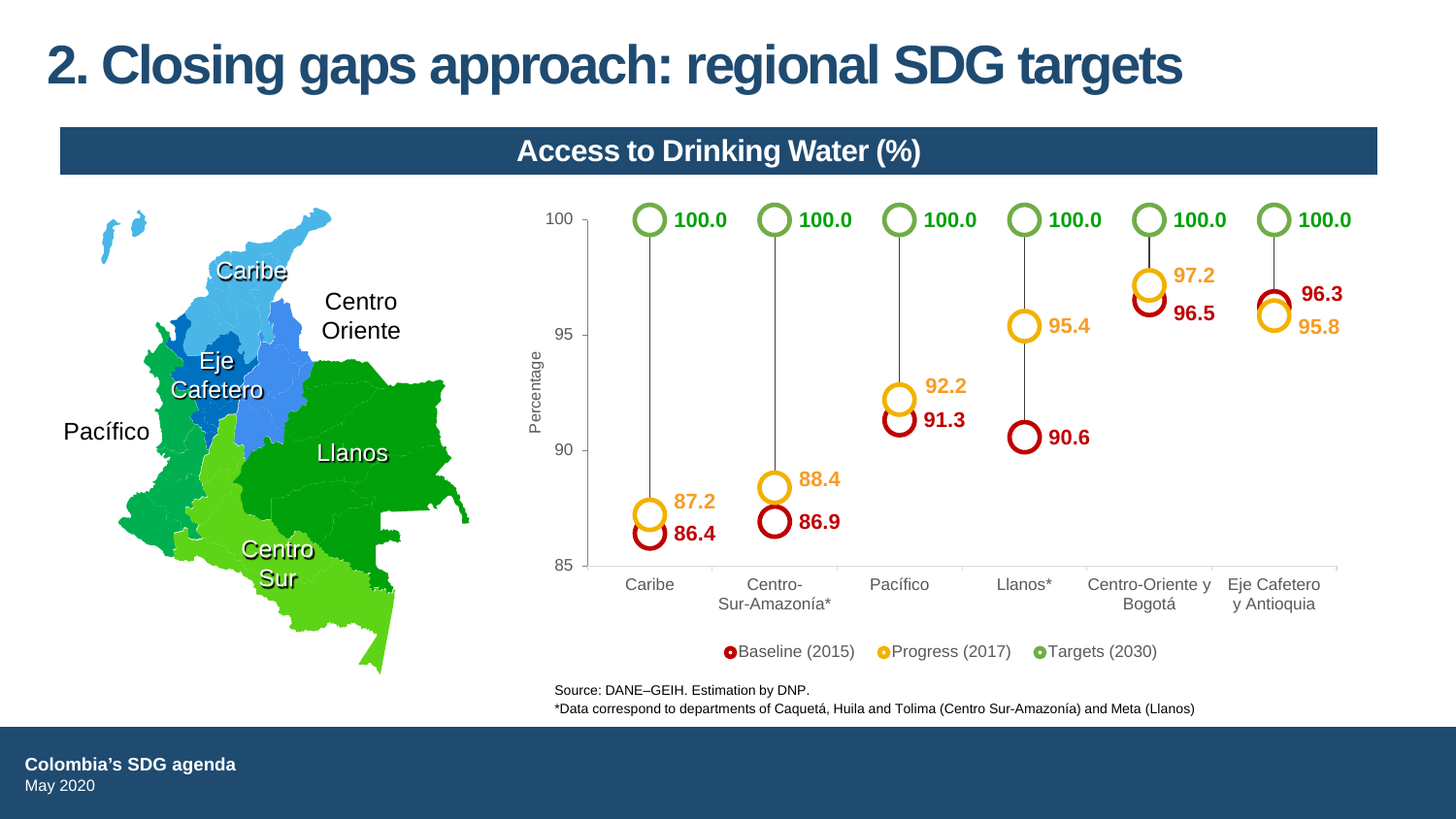# **2. Closing gaps approach: regional SDG targets**

**Access to Drinking Water (%)**



Source: DANE–GEIH. Estimation by DNP.

\*Data correspond to departments of Caquetá, Huila and Tolima (Centro Sur-Amazonía) and Meta (Llanos)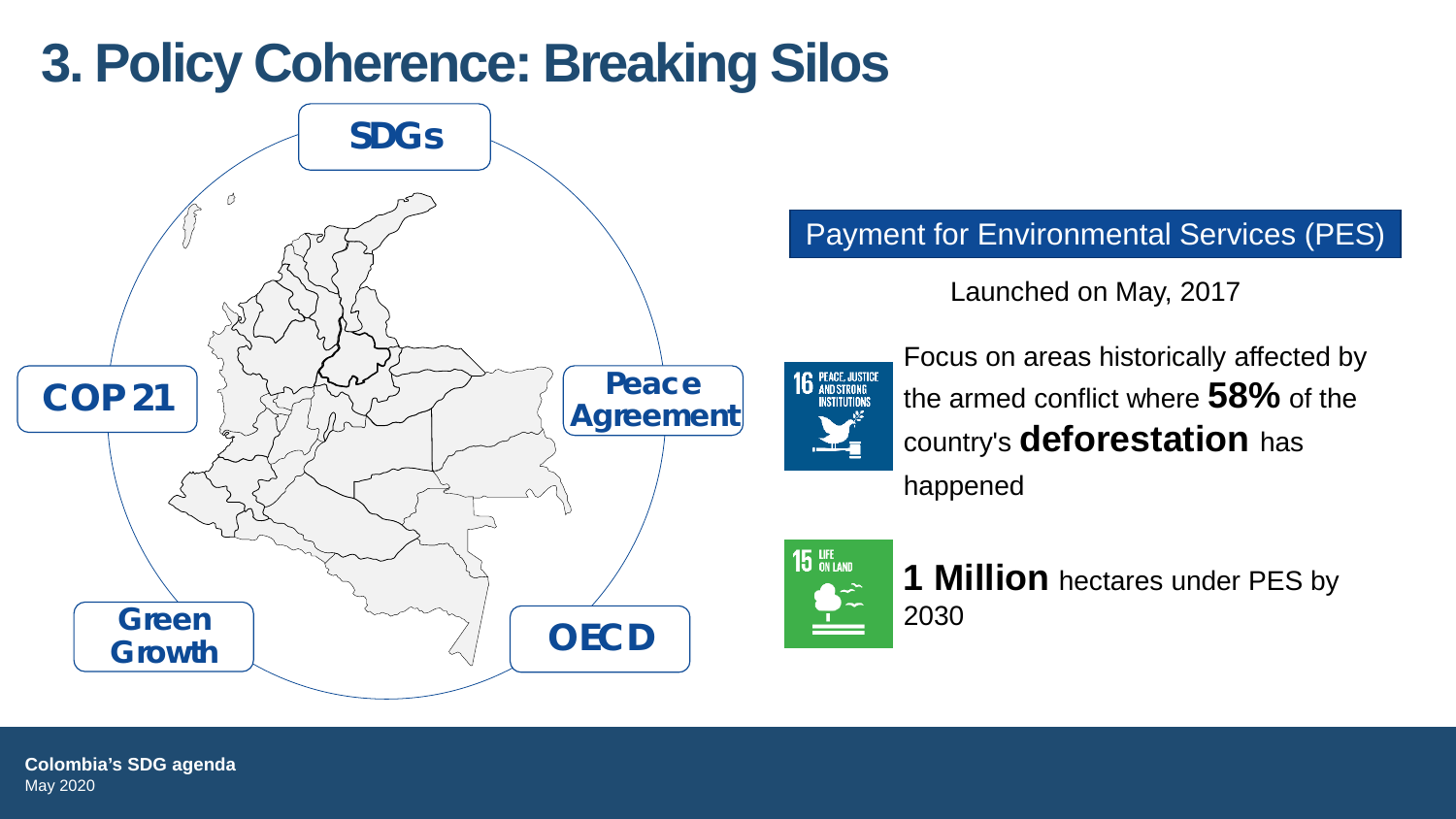### **3. Policy Coherence: Breaking Silos**



Payment for Environmental Services (PES)

Launched on May, 2017



Focus on areas historically affected by the armed conflict where **58%** of the country's **deforestation** has

happened



**1 Million** hectares under PES by 2030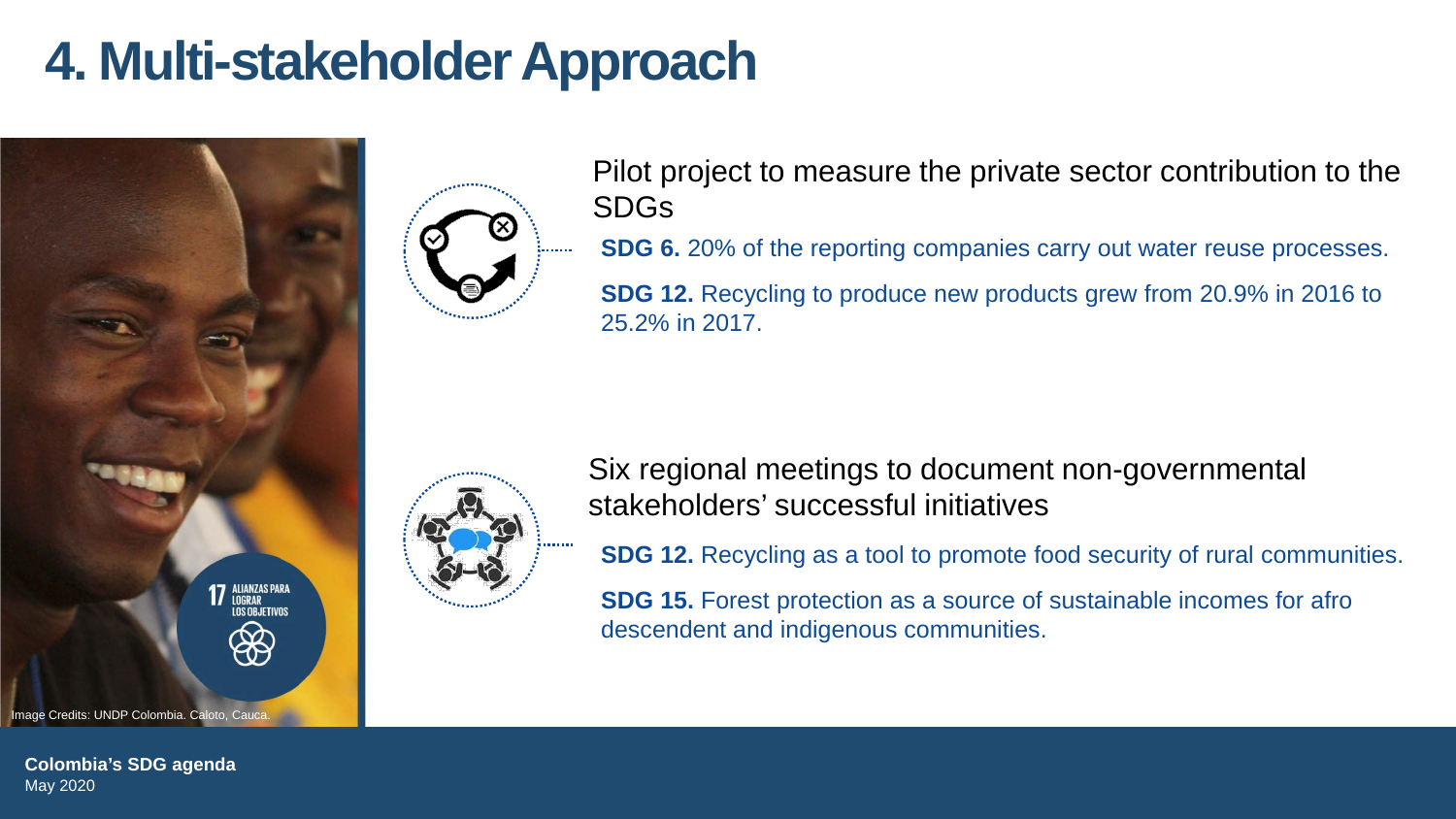### **4. Multi-stakeholder Approach**



**Colombia's SDG agenda** May 2020



Pilot project to measure the private sector contribution to the SDGs

**SDG 6.** 20% of the reporting companies carry out water reuse processes.

**SDG 12.** Recycling to produce new products grew from 20.9% in 2016 to 25.2% in 2017.



Six regional meetings to document non-governmental stakeholders' successful initiatives

**SDG 12.** Recycling as a tool to promote food security of rural communities.

**SDG 15.** Forest protection as a source of sustainable incomes for afro descendent and indigenous communities.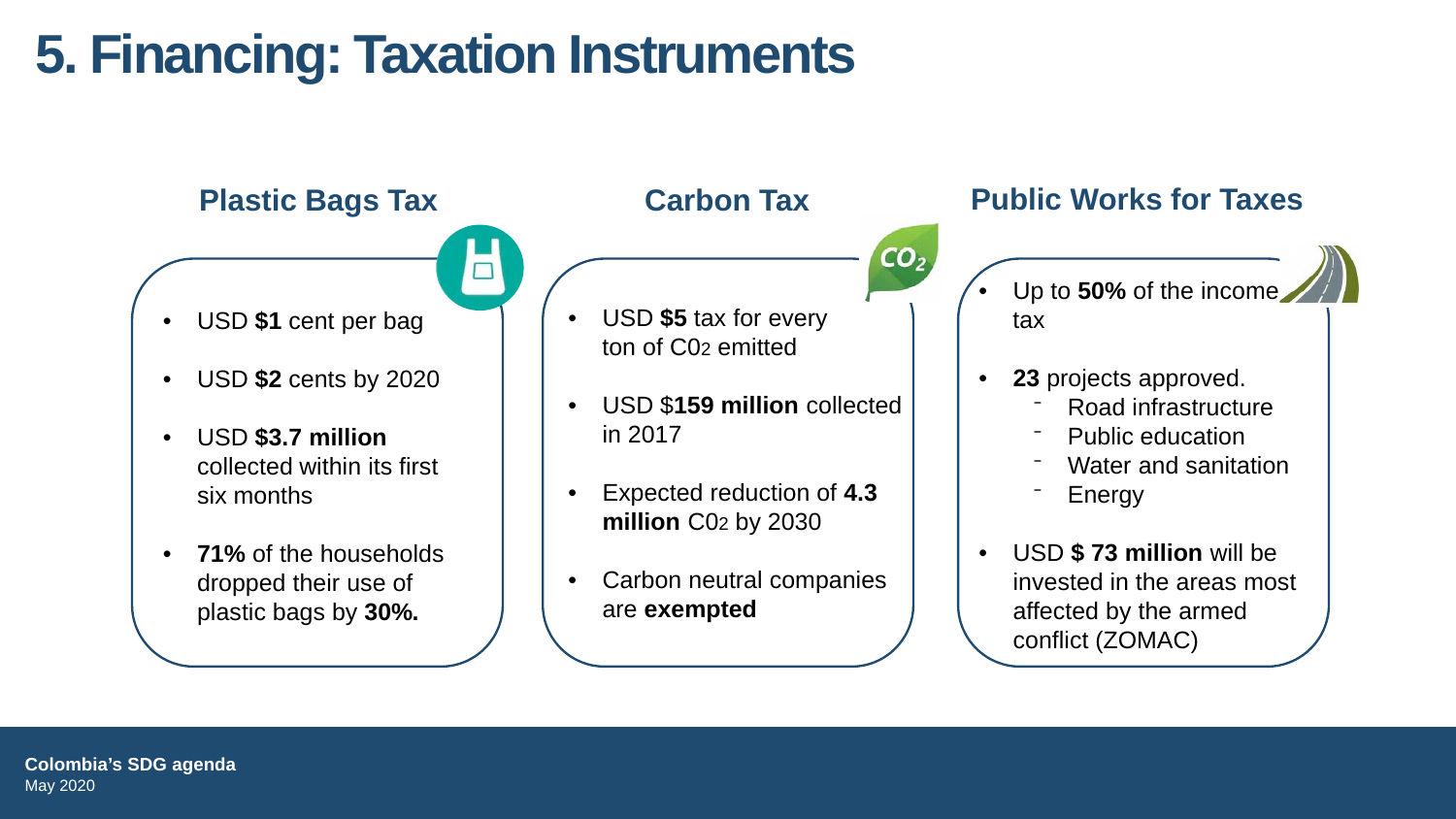# **5. Financing: Taxation Instruments**

 $\Box$ 

- USD **\$1** cent per bag
- USD **\$2** cents by 2020
- USD **\$3.7 million**  collected within its first six months
- **71%** of the households dropped their use of plastic bags by **30%.**

• USD **\$5** tax for every ton of C02 emitted

• USD \$**159 million** collected in 2017

 $CO<sub>2</sub>$ 

- Expected reduction of **4.3 million** C02 by 2030
- Carbon neutral companies are **exempted**

### **Plastic Bags Tax Carbon Tax Public Works for Taxes**

- Up to 50% of the income. tax
- **23** projects approved.
	- ⁻ Road infrastructure
	- Public education
	- Water and sanitation
	- **Energy**
- USD **\$ 73 million** will be invested in the areas most affected by the armed conflict (ZOMAC)